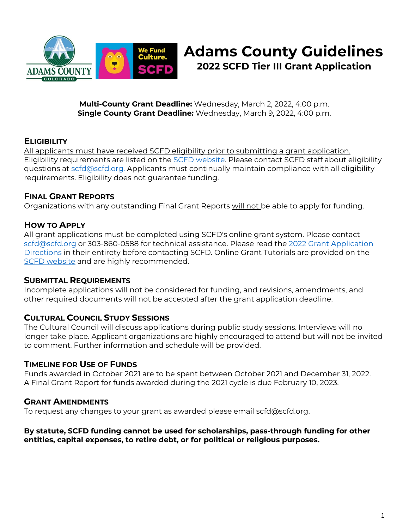

# **Adams County Guidelines 2022 SCFD Tier III Grant Application**

**Multi-County Grant Deadline:** Wednesday, March 2, 2022, 4:00 p.m. **Single County Grant Deadline:** Wednesday, March 9, 2022, 4:00 p.m.

## **ELIGIBILITY**

All applicants must have received SCFD eligibility prior to submitting a grant application. Eligibility requirements are listed on the [SCFD website.](https://scfd.org/) Please contact SCFD staff about eligibility questions at [scfd@scfd.org.](mailto:scfd@scfd.org.) Applicants must continually maintain compliance with all eligibility requirements. Eligibility does not guarantee funding.

#### **FINAL GRANT REPORTS**

Organizations with any outstanding Final Grant Reports will not be able to apply for funding.

## **HOW TO APPLY**

All grant applications must be completed using SCFD's online grant system. Please contact [scfd@scfd.org](mailto:scfd@scfd.org) or 303-860-0588 for technical assistance. Please read the 2022 [Grant Application](https://scfd.org/grantmaking/funded-organizations/tier-iii/)  [Directions](https://scfd.org/grantmaking/funded-organizations/tier-iii/) in their entirety before contacting SCFD. Online Grant Tutorials are provided on the [SCFD website](http://www.scfd.org/) and are highly recommended.

#### **SUBMITTAL REQUIREMENTS**

Incomplete applications will not be considered for funding, and revisions, amendments, and other required documents will not be accepted after the grant application deadline.

#### **CULTURAL COUNCIL STUDY SESSIONS**

The Cultural Council will discuss applications during public study sessions. Interviews will no longer take place. Applicant organizations are highly encouraged to attend but will not be invited to comment. Further information and schedule will be provided.

#### **TIMELINE FOR USE OF FUNDS**

Funds awarded in October 2021 are to be spent between October 2021 and December 31, 2022. A Final Grant Report for funds awarded during the 2021 cycle is due February 10, 2023.

#### **GRANT AMENDMENTS**

To request any changes to your grant as awarded please email scfd@scfd.org.

#### **By statute, SCFD funding cannot be used for scholarships, pass-through funding for other entities, capital expenses, to retire debt, or for political or religious purposes.**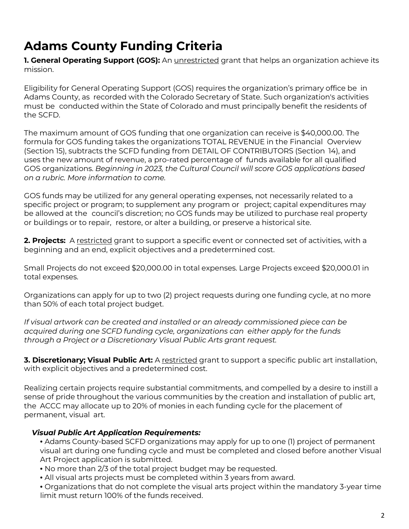# **Adams County Funding Criteria**

**1. General Operating Support (GOS):** An *unrestricted* grant that helps an organization achieve its mission.

Eligibility for General Operating Support (GOS) requires the organization's primary office be in Adams County, as recorded with the Colorado Secretary of State. Such organization's activities must be conducted within the State of Colorado and must principally benefit the residents of the SCFD.

The maximum amount of GOS funding that one organization can receive is \$40,000.00. The formula for GOS funding takes the organizations TOTAL REVENUE in the Financial Overview (Section 15), subtracts the SCFD funding from DETAIL OF CONTRIBUTORS (Section 14), and uses the new amount of revenue, a pro-rated percentage of funds available for all qualified GOS organizations. *Beginning in 2023, the Cultural Council will score GOS applications based on a rubric. More information to come.*

GOS funds may be utilized for any general operating expenses, not necessarily related to a specific project or program; to supplement any program or project; capital expenditures may be allowed at the council's discretion; no GOS funds may be utilized to purchase real property or buildings or to repair, restore, or alter a building, or preserve a historical site.

**2. Projects:** A restricted grant to support a specific event or connected set of activities, with a beginning and an end, explicit objectives and a predetermined cost.

Small Projects do not exceed \$20,000.00 in total expenses. Large Projects exceed \$20,000.01 in total expenses.

Organizations can apply for up to two (2) project requests during one funding cycle, at no more than 50% of each total project budget.

*If visual artwork can be created and installed or an already commissioned piece can be acquired during one SCFD funding cycle, organizations can either apply for the funds through a Project or a Discretionary Visual Public Arts grant request.*

**3. Discretionary; Visual Public Art:** A restricted grant to support a specific public art installation, with explicit objectives and a predetermined cost.

Realizing certain projects require substantial commitments, and compelled by a desire to instill a sense of pride throughout the various communities by the creation and installation of public art, the ACCC may allocate up to 20% of monies in each funding cycle for the placement of permanent, visual art.

## *Visual Public Art Application Requirements:*

- Adams County-based SCFD organizations may apply for up to one (1) project of permanent visual art during one funding cycle and must be completed and closed before another Visual Art Project application is submitted.
- No more than 2/3 of the total project budget may be requested.
- All visual arts projects must be completed within 3 years from award.
- Organizations that do not complete the visual arts project within the mandatory 3-year time limit must return 100% of the funds received.